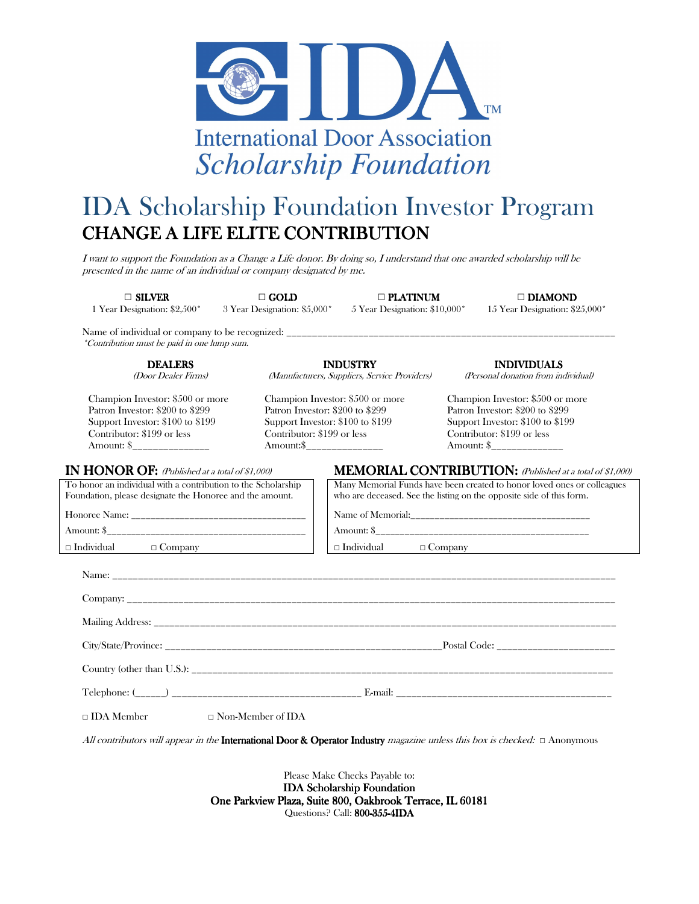

## IDA Scholarship Foundation Investor Program CHANGE A LIFE ELITE CONTRIBUTION

I want to support the Foundation as a Change a Life donor. By doing so, I understand that one awarded scholarship will be presented in the name of an individual or company designated by me.

1 Year Designation: \$2,500\* 3 Year Designation: \$5,000\* 5 Year Designation: \$10,000\* 15 Year Designation: \$25,000\*

**□** SILVER **□**GOLD **□**PLATINUM PLATINUM **□**DIAMOND DIAMOND

Name of individual or company to be recognized: \*Contribution must be paid in one lump sum.

> **DEALERS** (Door Dealer Firms)

Champion Investor: \$500 or more Patron Investor: \$200 to \$299 Support Investor: \$100 to \$199 Contributor: \$199 or less Amount: \$\_\_\_\_\_\_\_\_\_\_\_\_\_\_\_ Amount:\$\_\_\_\_\_\_\_\_\_\_\_\_\_\_\_ Amount: \$\_\_\_\_\_\_\_\_\_\_\_\_\_\_

#### IN HONOR OF: (Published at a total of \$1,000) **MEMORIAL CONTRIBUTION:** (Published at a total of \$1,000)

**INDUSTRY** (Manufacturers, Suppliers, Service Providers)

Champion Investor: \$500 or more Patron Investor: \$200 to \$299 Support Investor: \$100 to \$199 Contributor: \$199 or less

INDIVIDUALS INDIVIDUALS

(Personal donation from individual)

Champion Investor: \$500 or more Patron Investor: \$200 to \$299 Support Investor: \$100 to \$199 Contributor: \$199 or less

Many Memorial Funds have been created to honor loved ones or colleagues

| To honor an individual with a contribution to the Scholarship<br>Foundation, please designate the Honoree and the amount.                                                                                                      | Many Memorial Funds have been created to honor loved ones or<br>who are deceased. See the listing on the opposite side of this form. |  |  |
|--------------------------------------------------------------------------------------------------------------------------------------------------------------------------------------------------------------------------------|--------------------------------------------------------------------------------------------------------------------------------------|--|--|
| Honoree Name: The Same School and The School and The School and The School and The School and The School and The School and The School and The School and The School and The School and The School and The School and The Scho | Name of Memorial:                                                                                                                    |  |  |
| Amount: \$                                                                                                                                                                                                                     | Amount: \$                                                                                                                           |  |  |
| $\Box$ Individual<br>$\Box$ Company                                                                                                                                                                                            | $\Box$ Individual<br>$\Box$ Company                                                                                                  |  |  |
|                                                                                                                                                                                                                                |                                                                                                                                      |  |  |

who are deceased. See the listing on the opposite side of this form.

| $\Box$ IDA Member $\Box$ Non-Member of IDA |  |  |
|--------------------------------------------|--|--|

All contributors will appear in the **International Door & Operator Industry** magazine unless this box is checked:  $\Box$  Anonymous

Please Make Checks Payable to: IDA Scholarship Foundation One Parkview Plaza, Suite 800, Oakbrook Terrace, IL 60181 Questions? Call: 800-355-4IDA